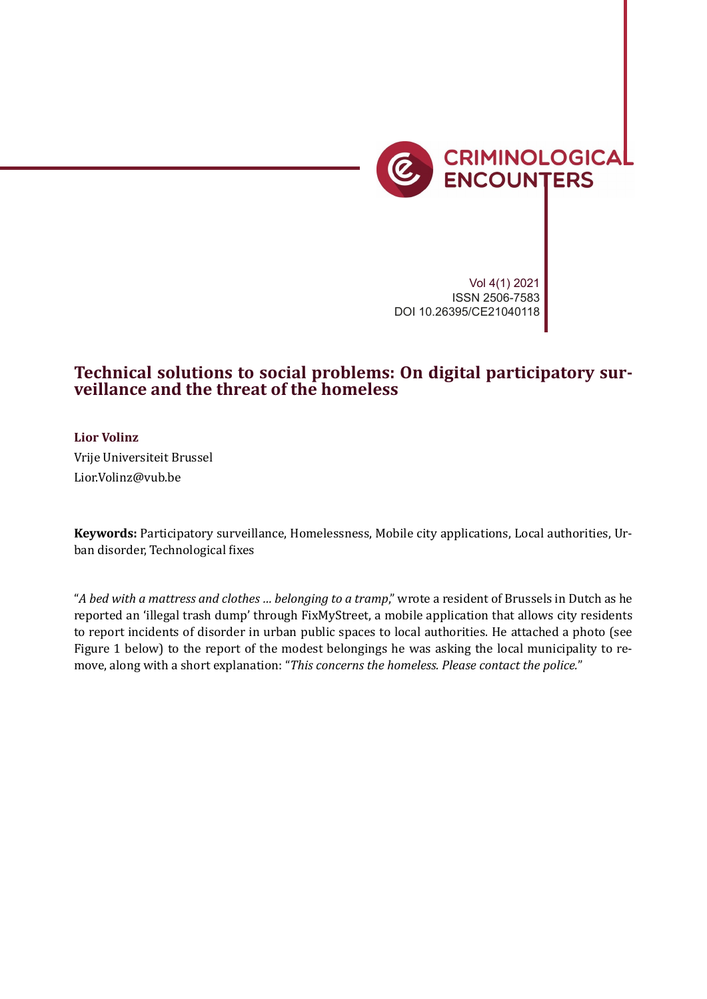

*Social media, local justice, and citizen-led digital policing* 217

Vol 4(1) 2021 ISSN 2506-7583 DOI 10.26395/CE21040118

# **Technical solutions to social problems: On digital participatory surveillance and the threat of the homeless**

**Lior Volinz** Vrije Universiteit Brussel Lior.Volinz@vub.be

**Keywords:** Participatory surveillance, Homelessness, Mobile city applications, Local authorities, Urban disorder, Technological fixes

"*A bed with a mattress and clothes … belonging to a tramp*," wrote a resident of Brussels in Dutch as he reported an 'illegal trash dump' through FixMyStreet, a mobile application that allows city residents to report incidents of disorder in urban public spaces to local authorities. He attached a photo (see Figure 1 below) to the report of the modest belongings he was asking the local municipality to remove, along with a short explanation: "*This concerns the homeless. Please contact the police.*"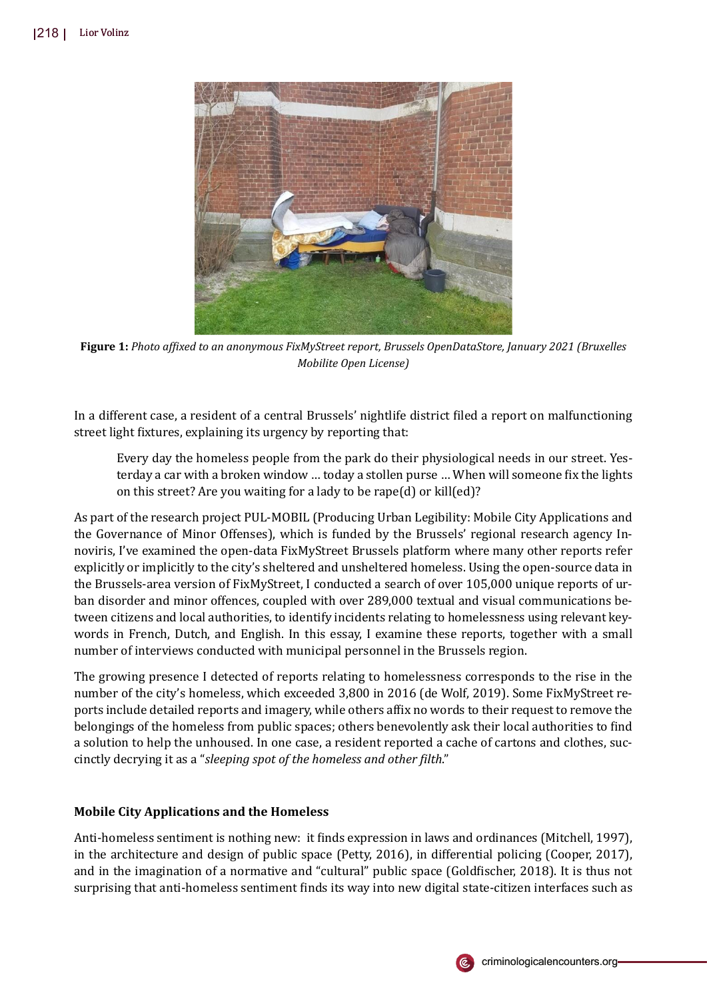

**Figure 1:** *Photo af�ixed to an anonymous FixMyStreet report, Brussels OpenDataStore, January 2021 (Bruxelles Mobilite Open License)*

In a different case, a resident of a central Brussels' nightlife district �iled a report on malfunctioning street light fixtures, explaining its urgency by reporting that:

Every day the homeless people from the park do their physiological needs in our street. Yesterday a car with a broken window ... today a stollen purse ... When will someone fix the lights on this street? Are you waiting for a lady to be rape(d) or kill(ed)?

As part of the research project PUL-MOBIL (Producing Urban Legibility: Mobile City Applications and the Governance of Minor Offenses), which is funded by the Brussels' regional research agency Innoviris, I've examined the open-data FixMyStreet Brussels platform where many other reports refer explicitly or implicitly to the city's sheltered and unsheltered homeless. Using the open-source data in the Brussels-area version of FixMyStreet, I conducted a search of over 105,000 unique reports of urban disorder and minor offences, coupled with over 289,000 textual and visual communications between citizens and local authorities, to identify incidents relating to homelessness using relevant keywords in French, Dutch, and English. In this essay, I examine these reports, together with a small number of interviews conducted with municipal personnel in the Brussels region.

The growing presence I detected of reports relating to homelessness corresponds to the rise in the number of the city's homeless, which exceeded 3,800 in 2016 (de Wolf, 2019). Some FixMyStreet reports include detailed reports and imagery, while others affix no words to their request to remove the belongings of the homeless from public spaces; others benevolently ask their local authorities to �ind a solution to help the unhoused. In one case, a resident reported a cache of cartons and clothes, succinctly decrying it as a "*sleeping spot of the homeless and other �ilth*."

# **Mobile City Applications and the Homeless**

Anti-homeless sentiment is nothing new: it �inds expression in laws and ordinances (Mitchell, 1997), in the architecture and design of public space (Petty, 2016), in differential policing (Cooper, 2017), and in the imagination of a normative and "cultural" public space (Goldfischer, 2018). It is thus not surprising that anti-homeless sentiment finds its way into new digital state-citizen interfaces such as

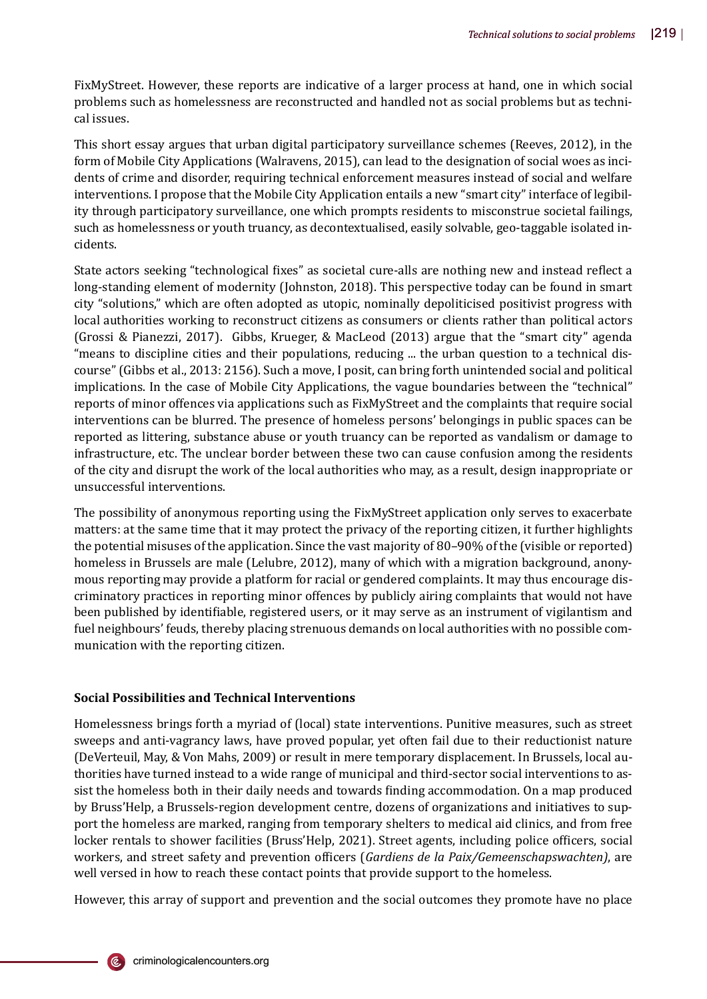FixMyStreet. However, these reports are indicative of a larger process at hand, one in which social problems such as homelessness are reconstructed and handled not as social problems but as technical issues.

This short essay argues that urban digital participatory surveillance schemes (Reeves, 2012), in the form of Mobile City Applications (Walravens, 2015), can lead to the designation of social woes as incidents of crime and disorder, requiring technical enforcement measures instead of social and welfare interventions. I propose that the Mobile City Application entails a new "smart city" interface of legibility through participatory surveillance, one which prompts residents to misconstrue societal failings, such as homelessness or youth truancy, as decontextualised, easily solvable, geo-taggable isolated incidents.

State actors seeking "technological fixes" as societal cure-alls are nothing new and instead reflect a long-standing element of modernity (Johnston, 2018). This perspective today can be found in smart city "solutions," which are often adopted as utopic, nominally depoliticised positivist progress with local authorities working to reconstruct citizens as consumers or clients rather than political actors (Grossi & Pianezzi, 2017). Gibbs, Krueger, & MacLeod (2013) argue that the "smart city" agenda "means to discipline cities and their populations, reducing ... the urban question to a technical discourse" (Gibbs et al., 2013: 2156). Such a move, I posit, can bring forth unintended social and political implications. In the case of Mobile City Applications, the vague boundaries between the "technical" reports of minor offences via applications such as FixMyStreet and the complaints that require social interventions can be blurred. The presence of homeless persons' belongings in public spaces can be reported as littering, substance abuse or youth truancy can be reported as vandalism or damage to infrastructure, etc. The unclear border between these two can cause confusion among the residents of the city and disrupt the work of the local authorities who may, as a result, design inappropriate or unsuccessful interventions.

The possibility of anonymous reporting using the FixMyStreet application only serves to exacerbate matters: at the same time that it may protect the privacy of the reporting citizen, it further highlights the potential misuses of the application. Since the vast majority of 80–90% of the (visible or reported) homeless in Brussels are male (Lelubre, 2012), many of which with a migration background, anonymous reporting may provide a platform for racial or gendered complaints. It may thus encourage discriminatory practices in reporting minor offences by publicly airing complaints that would not have been published by identifiable, registered users, or it may serve as an instrument of vigilantism and fuel neighbours' feuds, thereby placing strenuous demands on local authorities with no possible communication with the reporting citizen.

# **Social Possibilities and Technical Interventions**

Homelessness brings forth a myriad of (local) state interventions. Punitive measures, such as street sweeps and anti-vagrancy laws, have proved popular, yet often fail due to their reductionist nature (DeVerteuil, May, & Von Mahs, 2009) or result in mere temporary displacement. In Brussels, local authorities have turned instead to a wide range of municipal and third-sector social interventions to assist the homeless both in their daily needs and towards �inding accommodation. On a map produced by Bruss'Help, a Brussels-region development centre, dozens of organizations and initiatives to support the homeless are marked, ranging from temporary shelters to medical aid clinics, and from free locker rentals to shower facilities (Bruss'Help, 2021). Street agents, including police officers, social workers, and street safety and prevention officers (*Gardiens de la Paix/Gemeenschapswachten*), are well versed in how to reach these contact points that provide support to the homeless.

However, this array of support and prevention and the social outcomes they promote have no place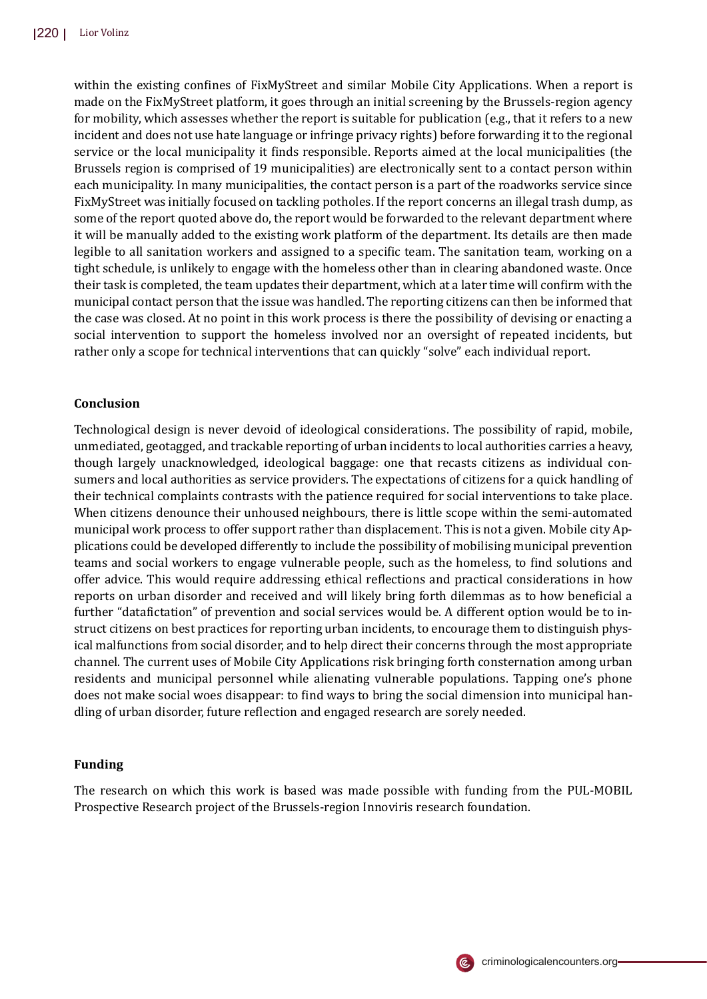within the existing confines of FixMyStreet and similar Mobile City Applications. When a report is made on the FixMyStreet platform, it goes through an initial screening by the Brussels-region agency for mobility, which assesses whether the report is suitable for publication (e.g., that it refers to a new incident and does not use hate language or infringe privacy rights) before forwarding it to the regional service or the local municipality it finds responsible. Reports aimed at the local municipalities (the Brussels region is comprised of 19 municipalities) are electronically sent to a contact person within each municipality. In many municipalities, the contact person is a part of the roadworks service since FixMyStreet was initially focused on tackling potholes. If the report concerns an illegal trash dump, as some of the report quoted above do, the report would be forwarded to the relevant department where it will be manually added to the existing work platform of the department. Its details are then made legible to all sanitation workers and assigned to a specific team. The sanitation team, working on a tight schedule, is unlikely to engage with the homeless other than in clearing abandoned waste. Once their task is completed, the team updates their department, which at a later time will confirm with the municipal contact person that the issue was handled. The reporting citizens can then be informed that the case was closed. At no point in this work process is there the possibility of devising or enacting a social intervention to support the homeless involved nor an oversight of repeated incidents, but rather only a scope for technical interventions that can quickly "solve" each individual report.

## **Conclusion**

Technological design is never devoid of ideological considerations. The possibility of rapid, mobile, unmediated, geotagged, and trackable reporting of urban incidents to local authorities carries a heavy, though largely unacknowledged, ideological baggage: one that recasts citizens as individual consumers and local authorities as service providers. The expectations of citizens for a quick handling of their technical complaints contrasts with the patience required for social interventions to take place. When citizens denounce their unhoused neighbours, there is little scope within the semi-automated municipal work process to offer support rather than displacement. This is not a given. Mobile city Applications could be developed differently to include the possibility of mobilising municipal prevention teams and social workers to engage vulnerable people, such as the homeless, to �ind solutions and offer advice. This would require addressing ethical reflections and practical considerations in how reports on urban disorder and received and will likely bring forth dilemmas as to how bene�icial a further "datafictation" of prevention and social services would be. A different option would be to instruct citizens on best practices for reporting urban incidents, to encourage them to distinguish physical malfunctions from social disorder, and to help direct their concerns through the most appropriate channel. The current uses of Mobile City Applications risk bringing forth consternation among urban residents and municipal personnel while alienating vulnerable populations. Tapping one's phone does not make social woes disappear: to �ind ways to bring the social dimension into municipal handling of urban disorder, future reflection and engaged research are sorely needed.

### **Funding**

The research on which this work is based was made possible with funding from the PUL-MOBIL Prospective Research project of the Brussels-region Innoviris research foundation.

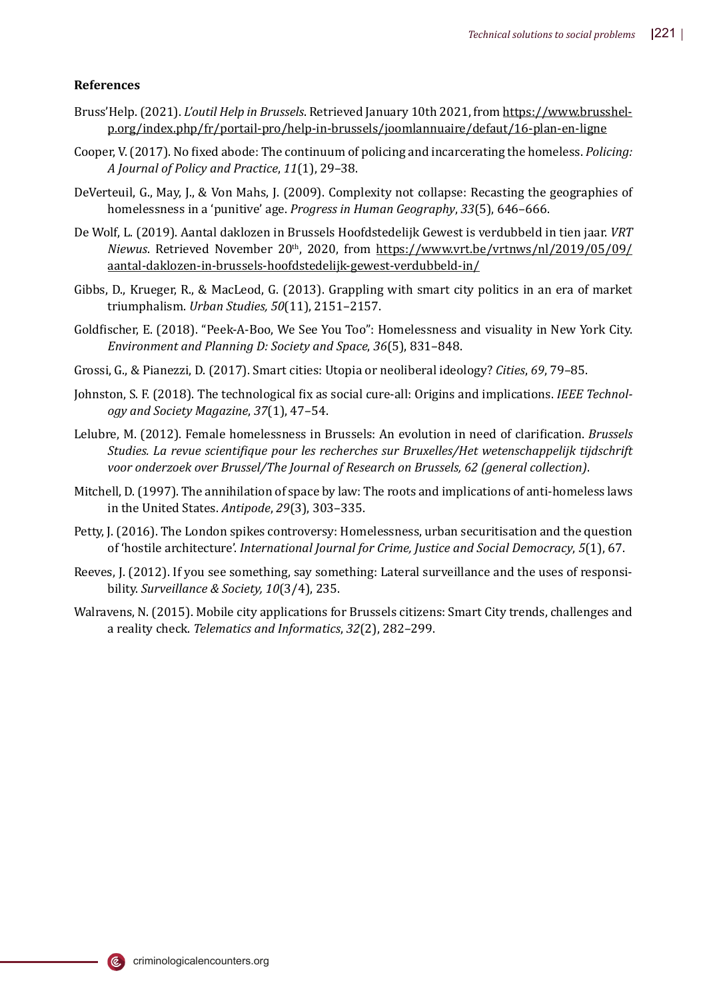### **References**

- Bruss'Help. (2021). *L'outil Help in Brussels*. Retrieved January 10th 2021, from https://www.brusshelp.org/index.php/fr/portail-pro/help-in-brussels/joomlannuaire/defaut/16-plan-en-ligne
- Cooper, V. (2017). No �ixed abode: The continuum of policing and incarcerating the homeless. *Policing: A Journal of Policy and Practice*, *11*(1), 29–38.
- DeVerteuil, G., May, J., & Von Mahs, J. (2009). Complexity not collapse: Recasting the geographies of homelessness in a 'punitive' age. *Progress in Human Geography*, *33*(5), 646–666.
- De Wolf, L. (2019). Aantal daklozen in Brussels Hoofdstedelijk Gewest is verdubbeld in tien jaar. *VRT Niewus*. Retrieved November 20<sup>th</sup>, 2020, from https://www.vrt.be/vrtnws/nl/2019/05/09/ aantal-daklozen-in-brussels-hoofdstedelijk-gewest-verdubbeld-in/
- Gibbs, D., Krueger, R., & MacLeod, G. (2013). Grappling with smart city politics in an era of market triumphalism. *Urban Studies, 50*(11), 2151–2157.
- Gold�ischer, E. (2018). "Peek-A-Boo, We See You Too": Homelessness and visuality in New York City. *Environment and Planning D: Society and Space*, *36*(5), 831–848.
- Grossi, G., & Pianezzi, D. (2017). Smart cities: Utopia or neoliberal ideology? *Cities*, *69*, 79–85.
- Johnston, S. F. (2018). The technological �ix as social cure-all: Origins and implications. *IEEE Technology and Society Magazine*, *37*(1), 47–54.
- Lelubre, M. (2012). Female homelessness in Brussels: An evolution in need of clari�ication. *Brussels Studies. La revue scienti�ique pour les recherches sur Bruxelles/Het wetenschappelijk tijdschrift voor onderzoek over Brussel/The Journal of Research on Brussels, 62 (general collection)*.
- Mitchell, D. (1997). The annihilation of space by law: The roots and implications of anti-homeless laws in the United States. *Antipode*, *29*(3), 303–335.
- Petty, J. (2016). The London spikes controversy: Homelessness, urban securitisation and the question of 'hostile architecture'. *International Journal for Crime, Justice and Social Democracy*, *5*(1), 67.
- Reeves, J. (2012). If you see something, say something: Lateral surveillance and the uses of responsibility. *Surveillance & Society, 10*(3/4), 235.
- Walravens, N. (2015). Mobile city applications for Brussels citizens: Smart City trends, challenges and a reality check. *Telematics and Informatics*, *32*(2), 282–299.